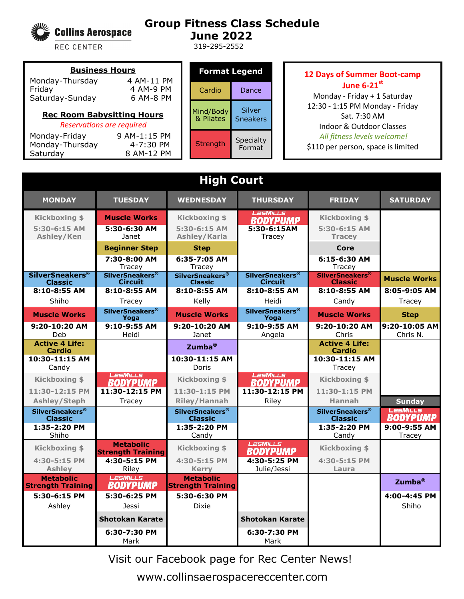

## **Group Fitness Class Schedule June 2022**

319-295-2552

REC CENTER

## **Business Hours** Monday-Thursday 4 AM-11 PM Friday 4 AM-9 PM Saturday-Sunday 6 AM-8 PM

## **Rec Room Babysitting Hours**

*Reservations are required*

Monday-Friday 9 AM-1:15 PM Monday-Thursday 4-7:30 PM Saturday 8 AM-12 PM

| Format Legend          |                           |  |
|------------------------|---------------------------|--|
| Cardio                 | Dance                     |  |
| Mind/Body<br>& Pilates | Silver<br><b>Sneakers</b> |  |
| Strength               | Specialty<br>Format       |  |

## **12 Days of Summer Boot-camp June 6-21st**

Monday - Friday + 1 Saturday 12:30 - 1:15 PM Monday - Friday Sat. 7:30 AM Indoor & Outdoor Classes *All fitness levels welcome!*  \$110 per person, space is limited

| <b>High Court</b>                                   |                                           |                                                     |                                                     |                                               |                             |
|-----------------------------------------------------|-------------------------------------------|-----------------------------------------------------|-----------------------------------------------------|-----------------------------------------------|-----------------------------|
| <b>MONDAY</b>                                       | <b>TUESDAY</b>                            | <b>WEDNESDAY</b>                                    | <b>THURSDAY</b>                                     | <b>FRIDAY</b>                                 | <b>SATURDAY</b>             |
| <b>Kickboxing \$</b>                                | <b>Muscle Works</b>                       | <b>Kickboxing \$</b>                                | <b>LesMILLS</b><br><b>BODYPUMP</b>                  | <b>Kickboxing \$</b>                          |                             |
| $5:30-6:15$ AM                                      | 5:30-6:30 AM                              | 5:30-6:15 AM                                        | 5:30-6:15AM                                         | $5:30-6:15$ AM                                |                             |
| Ashley/Ken                                          | Janet                                     | Ashley/Karla                                        | Tracev                                              | <b>Tracey</b>                                 |                             |
|                                                     | <b>Beginner Step</b>                      | <b>Step</b>                                         |                                                     | Core                                          |                             |
|                                                     | 7:30-8:00 AM<br>Tracey                    | 6:35-7:05 AM<br>Tracey                              |                                                     | $6:15-6:30$ AM<br>Tracey                      |                             |
| <b>SilverSneakers®</b><br><b>Classic</b>            | <b>SilverSneakers®</b><br><b>Circuit</b>  | <b>SilverSneakers<sup>®</sup></b><br><b>Classic</b> | <b>SilverSneakers<sup>®</sup></b><br><b>Circuit</b> | SilverSneakers <sup>®</sup><br><b>Classic</b> | <b>Muscle Works</b>         |
| 8:10-8:55 AM                                        | 8:10-8:55 AM                              | 8:10-8:55 AM                                        | 8:10-8:55 AM                                        | 8:10-8:55 AM                                  | 8:05-9:05 AM                |
| Shiho                                               | Tracey                                    | Kelly                                               | Heidi                                               | Candy                                         | Tracey                      |
| <b>Muscle Works</b>                                 | <b>SilverSneakers<sup>®</sup></b><br>Yoga | <b>Muscle Works</b>                                 | <b>SilverSneakers<sup>®</sup></b><br>Yoga           | <b>Muscle Works</b>                           | <b>Step</b>                 |
| 9:20-10:20 AM                                       | 9:10-9:55 AM                              | 9:20-10:20 AM                                       | 9:10-9:55 AM                                        | 9:20-10:20 AM                                 | 9:20-10:05 AM               |
| Deb<br><b>Active 4 Life:</b>                        | Heidi                                     | Janet                                               | Angela                                              | Chris<br><b>Active 4 Life:</b>                | Chris N.                    |
| Cardio                                              |                                           | Zumba <sup>®</sup>                                  |                                                     | Cardio                                        |                             |
| 10:30-11:15 AM<br>Candy                             |                                           | 10:30-11:15 AM<br>Doris                             |                                                     | 10:30-11:15 AM<br>Tracev                      |                             |
| <b>Kickboxing \$</b>                                | LesMills                                  | <b>Kickboxing \$</b>                                | <b>LesMILLS</b>                                     | <b>Kickboxing \$</b>                          |                             |
| 11:30-12:15 PM                                      | <b>BODYPUMP</b><br>11:30-12:15 PM         | 11:30-1:15 PM                                       | <b>BODYPUMP</b><br>11:30-12:15 PM                   | 11:30-1:15 PM                                 |                             |
| Ashley/Steph                                        | Tracey                                    | <b>Riley/Hannah</b>                                 | Riley                                               | <b>Hannah</b>                                 | <b>Sunday</b>               |
| <b>SilverSneakers<sup>®</sup></b><br><b>Classic</b> |                                           | <b>SilverSneakers<sup>®</sup></b><br><b>Classic</b> |                                                     | <b>SilverSneakers®</b><br><b>Classic</b>      | LesMills<br><b>BODYPUMP</b> |
| 1:35-2:20 PM                                        |                                           | 1:35-2:20 PM                                        |                                                     | 1:35-2:20 PM                                  | $9:00-9:55$ AM              |
| Shiho                                               | <b>Metabolic</b>                          | Candy                                               | LesMILLs                                            | Candy                                         | Tracey                      |
| <b>Kickboxing \$</b>                                | <b>Strength Training</b>                  | <b>Kickboxing \$</b>                                | <b>BODYPUMP</b>                                     | <b>Kickboxing \$</b>                          |                             |
| 4:30-5:15 PM                                        | 4:30-5:15 PM                              | 4:30-5:15 PM                                        | 4:30-5:25 PM                                        | 4:30-5:15 PM                                  |                             |
| <b>Ashley</b><br><b>Metabolic</b>                   | Riley<br>LesMills                         | <b>Kerry</b><br><b>Metabolic</b>                    | Julie/Jessi                                         | Laura                                         |                             |
| <b>Strength Training</b>                            | <b>BODYPUMP</b>                           | <b>Strength Training</b>                            |                                                     |                                               | Zumba <sup>®</sup>          |
| 5:30-6:15 PM                                        | 5:30-6:25 PM                              | 5:30-6:30 PM                                        |                                                     |                                               | 4:00-4:45 PM                |
| Ashley                                              | <b>Jessi</b>                              | <b>Dixie</b>                                        |                                                     |                                               | Shiho                       |
|                                                     | <b>Shotokan Karate</b>                    |                                                     | <b>Shotokan Karate</b>                              |                                               |                             |
|                                                     | 6:30-7:30 PM                              |                                                     | 6:30-7:30 PM                                        |                                               |                             |
|                                                     | Mark                                      |                                                     | Mark                                                |                                               |                             |

Visit our Facebook page for Rec Center News!

www.collinsaerospacereccenter.com